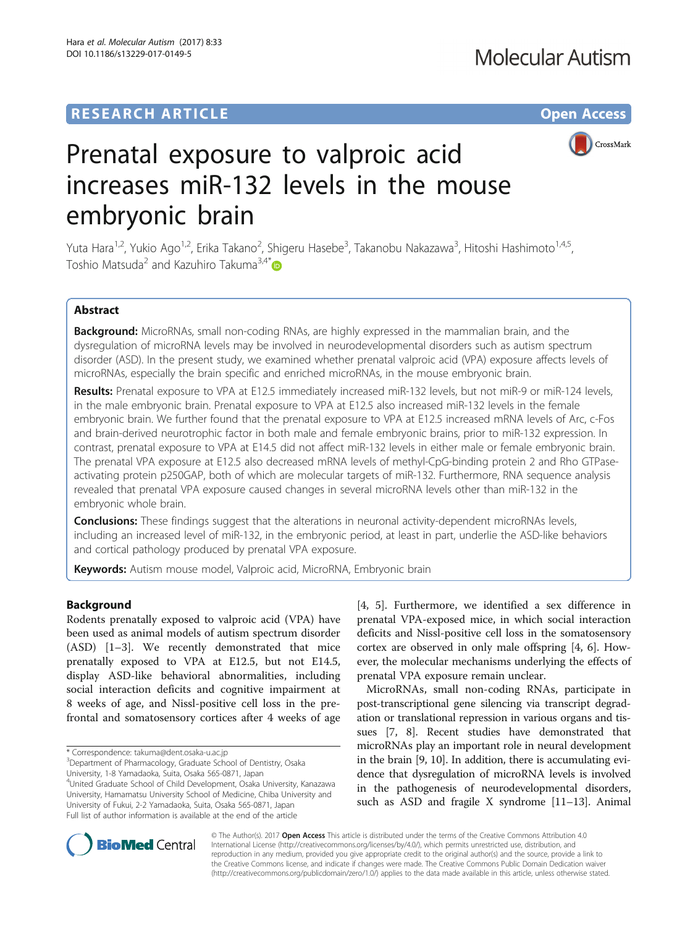## **RESEARCH ARTICLE Example 2014 12:30 The Contract of Contract ACCESS**



# Prenatal exposure to valproic acid increases miR-132 levels in the mouse embryonic brain

Yuta Hara<sup>1,2</sup>, Yukio Ago<sup>1,2</sup>, Erika Takano<sup>2</sup>, Shigeru Hasebe<sup>3</sup>, Takanobu Nakazawa<sup>3</sup>, Hitoshi Hashimoto<sup>1,4,5</sup>, Toshio Matsuda<sup>2</sup> and Kazuhiro Takuma<sup>3,4\*</sup>

## Abstract

Background: MicroRNAs, small non-coding RNAs, are highly expressed in the mammalian brain, and the dysregulation of microRNA levels may be involved in neurodevelopmental disorders such as autism spectrum disorder (ASD). In the present study, we examined whether prenatal valproic acid (VPA) exposure affects levels of microRNAs, especially the brain specific and enriched microRNAs, in the mouse embryonic brain.

Results: Prenatal exposure to VPA at E12.5 immediately increased miR-132 levels, but not miR-9 or miR-124 levels, in the male embryonic brain. Prenatal exposure to VPA at E12.5 also increased miR-132 levels in the female embryonic brain. We further found that the prenatal exposure to VPA at E12.5 increased mRNA levels of Arc, c-Fos and brain-derived neurotrophic factor in both male and female embryonic brains, prior to miR-132 expression. In contrast, prenatal exposure to VPA at E14.5 did not affect miR-132 levels in either male or female embryonic brain. The prenatal VPA exposure at E12.5 also decreased mRNA levels of methyl-CpG-binding protein 2 and Rho GTPaseactivating protein p250GAP, both of which are molecular targets of miR-132. Furthermore, RNA sequence analysis revealed that prenatal VPA exposure caused changes in several microRNA levels other than miR-132 in the embryonic whole brain.

**Conclusions:** These findings suggest that the alterations in neuronal activity-dependent microRNAs levels, including an increased level of miR-132, in the embryonic period, at least in part, underlie the ASD-like behaviors and cortical pathology produced by prenatal VPA exposure.

Keywords: Autism mouse model, Valproic acid, MicroRNA, Embryonic brain

## Background

Rodents prenatally exposed to valproic acid (VPA) have been used as animal models of autism spectrum disorder (ASD) [\[1](#page-7-0)–[3\]](#page-7-0). We recently demonstrated that mice prenatally exposed to VPA at E12.5, but not E14.5, display ASD-like behavioral abnormalities, including social interaction deficits and cognitive impairment at 8 weeks of age, and Nissl-positive cell loss in the prefrontal and somatosensory cortices after 4 weeks of age

University, 1-8 Yamadaoka, Suita, Osaka 565-0871, Japan

4 United Graduate School of Child Development, Osaka University, Kanazawa University, Hamamatsu University School of Medicine, Chiba University and University of Fukui, 2-2 Yamadaoka, Suita, Osaka 565-0871, Japan Full list of author information is available at the end of the article

[[4, 5](#page-7-0)]. Furthermore, we identified a sex difference in prenatal VPA-exposed mice, in which social interaction deficits and Nissl-positive cell loss in the somatosensory cortex are observed in only male offspring [[4](#page-7-0), [6](#page-7-0)]. However, the molecular mechanisms underlying the effects of prenatal VPA exposure remain unclear.

MicroRNAs, small non-coding RNAs, participate in post-transcriptional gene silencing via transcript degradation or translational repression in various organs and tissues [\[7](#page-7-0), [8\]](#page-7-0). Recent studies have demonstrated that microRNAs play an important role in neural development in the brain [[9](#page-7-0), [10](#page-7-0)]. In addition, there is accumulating evidence that dysregulation of microRNA levels is involved in the pathogenesis of neurodevelopmental disorders, such as ASD and fragile X syndrome [[11](#page-7-0)–[13\]](#page-7-0). Animal



© The Author(s). 2017 **Open Access** This article is distributed under the terms of the Creative Commons Attribution 4.0 International License [\(http://creativecommons.org/licenses/by/4.0/](http://creativecommons.org/licenses/by/4.0/)), which permits unrestricted use, distribution, and reproduction in any medium, provided you give appropriate credit to the original author(s) and the source, provide a link to the Creative Commons license, and indicate if changes were made. The Creative Commons Public Domain Dedication waiver [\(http://creativecommons.org/publicdomain/zero/1.0/](http://creativecommons.org/publicdomain/zero/1.0/)) applies to the data made available in this article, unless otherwise stated.

<sup>\*</sup> Correspondence: [takuma@dent.osaka-u.ac.jp](mailto:takuma@dent.osaka-u.ac.jp) <sup>3</sup>

<sup>&</sup>lt;sup>3</sup>Department of Pharmacology, Graduate School of Dentistry, Osaka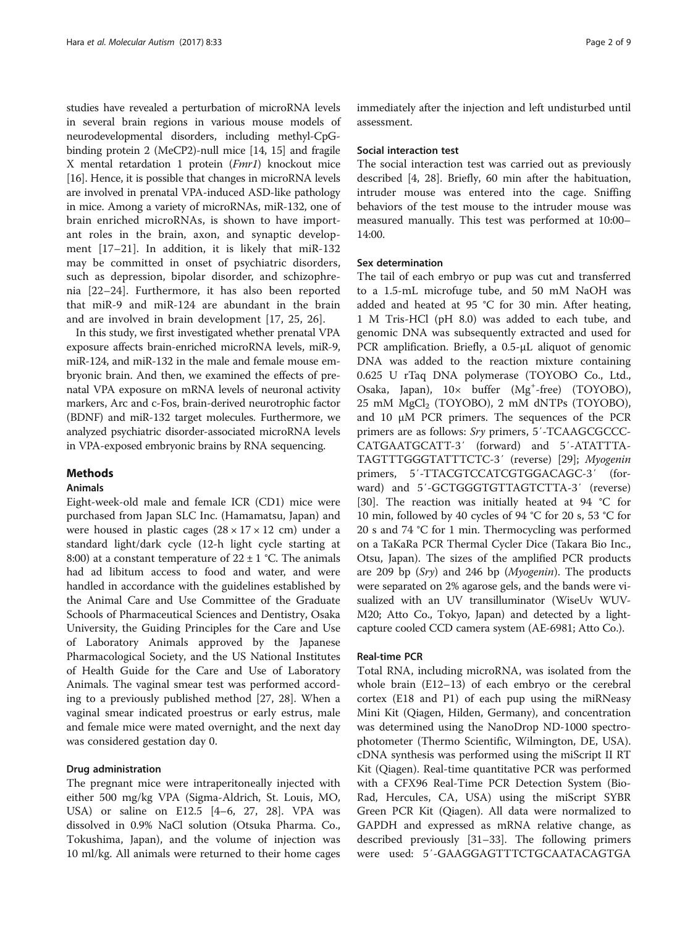studies have revealed a perturbation of microRNA levels in several brain regions in various mouse models of neurodevelopmental disorders, including methyl-CpGbinding protein 2 (MeCP2)-null mice [\[14, 15\]](#page-7-0) and fragile X mental retardation 1 protein (Fmr1) knockout mice [[16](#page-7-0)]. Hence, it is possible that changes in microRNA levels are involved in prenatal VPA-induced ASD-like pathology in mice. Among a variety of microRNAs, miR-132, one of brain enriched microRNAs, is shown to have important roles in the brain, axon, and synaptic development [\[17](#page-7-0)–[21](#page-7-0)]. In addition, it is likely that miR-132 may be committed in onset of psychiatric disorders, such as depression, bipolar disorder, and schizophrenia [\[22](#page-7-0)–[24](#page-7-0)]. Furthermore, it has also been reported that miR-9 and miR-124 are abundant in the brain and are involved in brain development [[17, 25](#page-7-0), [26](#page-7-0)].

In this study, we first investigated whether prenatal VPA exposure affects brain-enriched microRNA levels, miR-9, miR-124, and miR-132 in the male and female mouse embryonic brain. And then, we examined the effects of prenatal VPA exposure on mRNA levels of neuronal activity markers, Arc and c-Fos, brain-derived neurotrophic factor (BDNF) and miR-132 target molecules. Furthermore, we analyzed psychiatric disorder-associated microRNA levels in VPA-exposed embryonic brains by RNA sequencing.

## Methods

## Animals

Eight-week-old male and female ICR (CD1) mice were purchased from Japan SLC Inc. (Hamamatsu, Japan) and were housed in plastic cages  $(28 \times 17 \times 12 \text{ cm})$  under a standard light/dark cycle (12-h light cycle starting at 8:00) at a constant temperature of  $22 \pm 1$  °C. The animals had ad libitum access to food and water, and were handled in accordance with the guidelines established by the Animal Care and Use Committee of the Graduate Schools of Pharmaceutical Sciences and Dentistry, Osaka University, the Guiding Principles for the Care and Use of Laboratory Animals approved by the Japanese Pharmacological Society, and the US National Institutes of Health Guide for the Care and Use of Laboratory Animals. The vaginal smear test was performed according to a previously published method [[27, 28\]](#page-7-0). When a vaginal smear indicated proestrus or early estrus, male and female mice were mated overnight, and the next day was considered gestation day 0.

## Drug administration

The pregnant mice were intraperitoneally injected with either 500 mg/kg VPA (Sigma-Aldrich, St. Louis, MO, USA) or saline on E12.5 [[4](#page-7-0)–[6, 27, 28\]](#page-7-0). VPA was dissolved in 0.9% NaCl solution (Otsuka Pharma. Co., Tokushima, Japan), and the volume of injection was 10 ml/kg. All animals were returned to their home cages

immediately after the injection and left undisturbed until assessment.

#### Social interaction test

The social interaction test was carried out as previously described [\[4, 28](#page-7-0)]. Briefly, 60 min after the habituation, intruder mouse was entered into the cage. Sniffing behaviors of the test mouse to the intruder mouse was measured manually. This test was performed at 10:00– 14:00.

## Sex determination

The tail of each embryo or pup was cut and transferred to a 1.5-mL microfuge tube, and 50 mM NaOH was added and heated at 95 °C for 30 min. After heating, 1 M Tris-HCl (pH 8.0) was added to each tube, and genomic DNA was subsequently extracted and used for PCR amplification. Briefly, a 0.5-μL aliquot of genomic DNA was added to the reaction mixture containing 0.625 U rTaq DNA polymerase (TOYOBO Co., Ltd., Osaka, Japan),  $10 \times$  buffer (Mg<sup>+</sup>-free) (TOYOBO), 25 mM MgCl<sub>2</sub> (TOYOBO), 2 mM dNTPs (TOYOBO), and 10 μM PCR primers. The sequences of the PCR primers are as follows: Sry primers, 5'-TCAAGCGCCC-CATGAATGCATT-3′ (forward) and 5′-ATATTTA-TAGTTTGGGTATTTCTC-3′ (reverse) [\[29](#page-8-0)]; Myogenin primers, 5′-TTACGTCCATCGTGGACAGC-3′ (forward) and 5′-GCTGGGTGTTAGTCTTA-3′ (reverse) [[30\]](#page-8-0). The reaction was initially heated at 94 °C for 10 min, followed by 40 cycles of 94 °C for 20 s, 53 °C for 20 s and 74 °C for 1 min. Thermocycling was performed on a TaKaRa PCR Thermal Cycler Dice (Takara Bio Inc., Otsu, Japan). The sizes of the amplified PCR products are 209 bp  $(Sry)$  and 246 bp  $(Myogenin)$ . The products were separated on 2% agarose gels, and the bands were visualized with an UV transilluminator (WiseUv WUV-M20; Atto Co., Tokyo, Japan) and detected by a lightcapture cooled CCD camera system (AE-6981; Atto Co.).

#### Real-time PCR

Total RNA, including microRNA, was isolated from the whole brain (E12–13) of each embryo or the cerebral cortex (E18 and P1) of each pup using the miRNeasy Mini Kit (Qiagen, Hilden, Germany), and concentration was determined using the NanoDrop ND-1000 spectrophotometer (Thermo Scientific, Wilmington, DE, USA). cDNA synthesis was performed using the miScript II RT Kit (Qiagen). Real-time quantitative PCR was performed with a CFX96 Real-Time PCR Detection System (Bio-Rad, Hercules, CA, USA) using the miScript SYBR Green PCR Kit (Qiagen). All data were normalized to GAPDH and expressed as mRNA relative change, as described previously [[31](#page-8-0)–[33](#page-8-0)]. The following primers were used: 5′-GAAGGAGTTTCTGCAATACAGTGA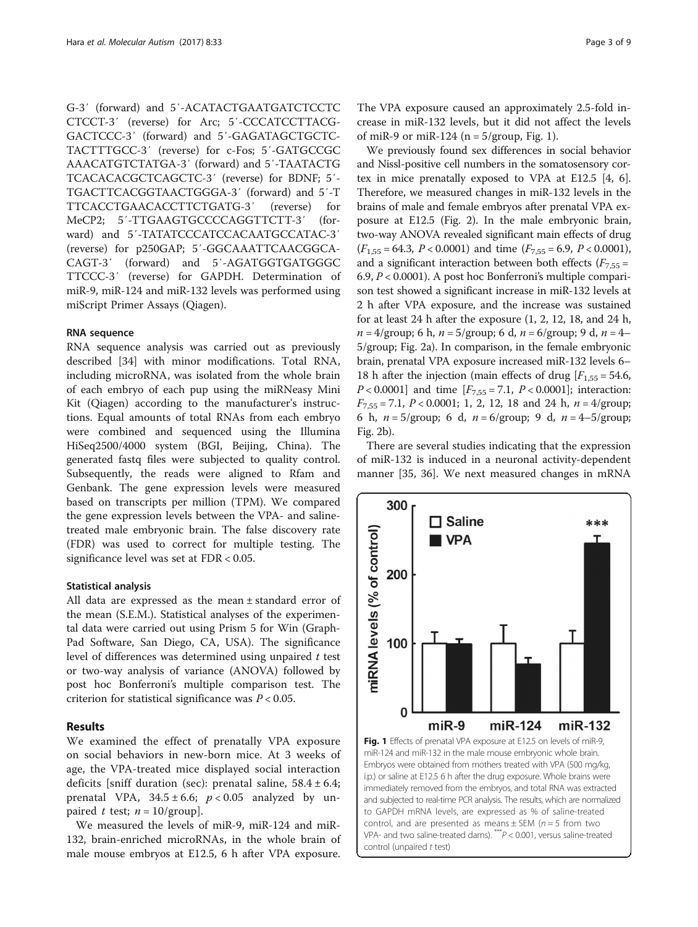G-3′ (forward) and 5′-ACATACTGAATGATCTCCTC CTCCT-3′ (reverse) for Arc; 5′-CCCATCCTTACG-GACTCCC-3′ (forward) and 5′-GAGATAGCTGCTC-TACTTTGCC-3′ (reverse) for c-Fos; 5′-GATGCCGC AAACATGTCTATGA-3′ (forward) and 5′-TAATACTG TCACACACGCTCAGCTC-3′ (reverse) for BDNF; 5′- TGACTTCACGGTAACTGGGA-3′ (forward) and 5′-T TTCACCTGAACACCTTCTGATG-3′ (reverse) for MeCP2; 5′-TTGAAGTGCCCCAGGTTCTT-3′ (forward) and 5′-TATATCCCATCCACAATGCCATAC-3′ (reverse) for p250GAP; 5′-GGCAAATTCAACGGCA-CAGT-3′ (forward) and 5′-AGATGGTGATGGGC TTCCC-3′ (reverse) for GAPDH. Determination of miR-9, miR-124 and miR-132 levels was performed using miScript Primer Assays (Qiagen).

#### RNA sequence

RNA sequence analysis was carried out as previously described [\[34](#page-8-0)] with minor modifications. Total RNA, including microRNA, was isolated from the whole brain of each embryo of each pup using the miRNeasy Mini Kit (Qiagen) according to the manufacturer's instructions. Equal amounts of total RNAs from each embryo were combined and sequenced using the Illumina HiSeq2500/4000 system (BGI, Beijing, China). The generated fastq files were subjected to quality control. Subsequently, the reads were aligned to Rfam and Genbank. The gene expression levels were measured based on transcripts per million (TPM). We compared the gene expression levels between the VPA- and salinetreated male embryonic brain. The false discovery rate (FDR) was used to correct for multiple testing. The significance level was set at FDR < 0.05.

#### Statistical analysis

All data are expressed as the mean ± standard error of the mean (S.E.M.). Statistical analyses of the experimental data were carried out using Prism 5 for Win (Graph-Pad Software, San Diego, CA, USA). The significance level of differences was determined using unpaired t test or two-way analysis of variance (ANOVA) followed by post hoc Bonferroni's multiple comparison test. The criterion for statistical significance was  $P < 0.05$ .

## Results

We examined the effect of prenatally VPA exposure on social behaviors in new-born mice. At 3 weeks of age, the VPA-treated mice displayed social interaction deficits [sniff duration (sec): prenatal saline,  $58.4 \pm 6.4$ ; prenatal VPA,  $34.5 \pm 6.6$ ;  $p < 0.05$  analyzed by unpaired t test;  $n = 10$ /group].

We measured the levels of miR-9, miR-124 and miR-132, brain-enriched microRNAs, in the whole brain of male mouse embryos at E12.5, 6 h after VPA exposure. The VPA exposure caused an approximately 2.5-fold increase in miR-132 levels, but it did not affect the levels of miR-9 or miR-124 ( $n = 5/$ group, Fig. 1).

We previously found sex differences in social behavior and Nissl-positive cell numbers in the somatosensory cortex in mice prenatally exposed to VPA at E12.5 [\[4, 6](#page-7-0)]. Therefore, we measured changes in miR-132 levels in the brains of male and female embryos after prenatal VPA exposure at E12.5 (Fig. [2](#page-3-0)). In the male embryonic brain, two-way ANOVA revealed significant main effects of drug  $(F_{1,55} = 64.3, P < 0.0001)$  and time  $(F_{7,55} = 6.9, P < 0.0001)$ , and a significant interaction between both effects  $(F<sub>7.55</sub> =$ 6.9,  $P < 0.0001$ ). A post hoc Bonferroni's multiple comparison test showed a significant increase in miR-132 levels at 2 h after VPA exposure, and the increase was sustained for at least 24 h after the exposure (1, 2, 12, 18, and 24 h,  $n = 4$ /group; 6 h,  $n = 5$ /group; 6 d,  $n = 6$ /group; 9 d,  $n = 4$ – 5/group; Fig. [2a](#page-3-0)). In comparison, in the female embryonic brain, prenatal VPA exposure increased miR-132 levels 6– 18 h after the injection (main effects of drug  $[F<sub>1,55</sub> = 54.6,$  $P < 0.0001$ ] and time  $[F_{7,55} = 7.1, P < 0.0001]$ ; interaction:  $F_{7,55} = 7.1$ ,  $P < 0.0001$ ; 1, 2, 12, 18 and 24 h,  $n = 4$ /group; 6 h,  $n = 5$ /group; 6 d,  $n = 6$ /group; 9 d,  $n = 4-5$ /group; Fig. [2b](#page-3-0)).

There are several studies indicating that the expression of miR-132 is induced in a neuronal activity-dependent manner [\[35](#page-8-0), [36](#page-8-0)]. We next measured changes in mRNA

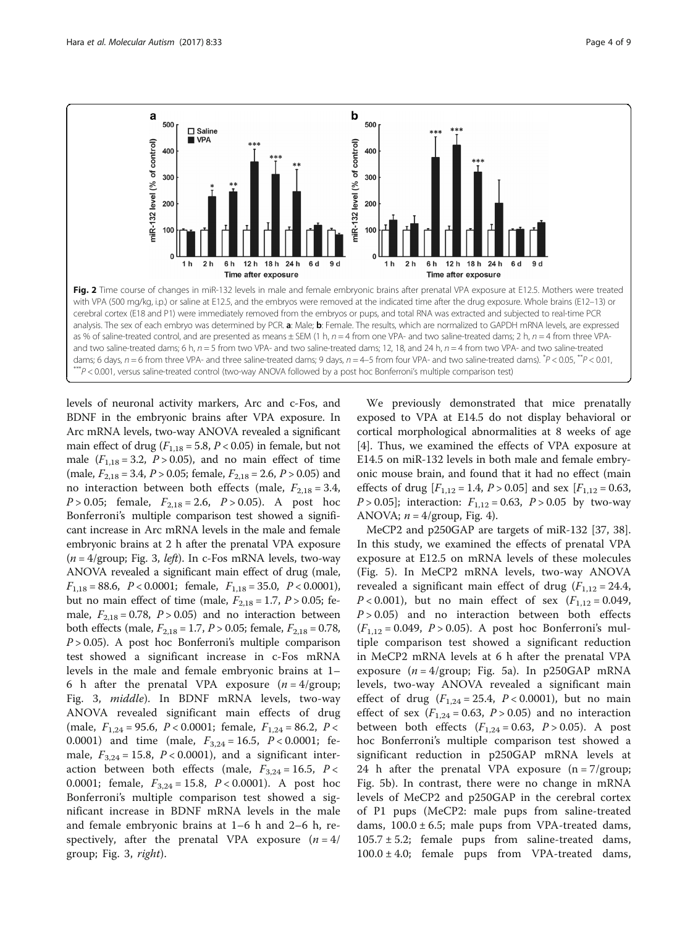<span id="page-3-0"></span>

with VPA (500 mg/kg, i.p.) or saline at E12.5, and the embryos were removed at the indicated time after the drug exposure. Whole brains (E12–13) or cerebral cortex (E18 and P1) were immediately removed from the embryos or pups, and total RNA was extracted and subjected to real-time PCR analysis. The sex of each embryo was determined by PCR. a: Male; b: Female. The results, which are normalized to GAPDH mRNA levels, are expressed as % of saline-treated control, and are presented as means  $\pm$  SEM (1 h, n = 4 from one VPA- and two saline-treated dams; 2 h, n = 4 from three VPAand two saline-treated dams; 6 h,  $n = 5$  from two VPA- and two saline-treated dams; 12, 18, and 24 h,  $n = 4$  from two VPA- and two saline-treated dams; 6 days, n = 6 from three VPA- and three saline-treated dams; 9 days, n = 4–5 from four VPA- and two saline-treated dams).  $^*P$  < 0.05,  $^*P$  < 0.01,<br>\*\*\*P < 0.001, versus saline-treated control (two-way ANOVA followe

levels of neuronal activity markers, Arc and c-Fos, and BDNF in the embryonic brains after VPA exposure. In Arc mRNA levels, two-way ANOVA revealed a significant main effect of drug ( $F_{1,18} = 5.8$ ,  $P < 0.05$ ) in female, but not male  $(F_{1,18} = 3.2, P > 0.05)$ , and no main effect of time (male,  $F_{2,18} = 3.4$ ,  $P > 0.05$ ; female,  $F_{2,18} = 2.6$ ,  $P > 0.05$ ) and no interaction between both effects (male,  $F_{2,18} = 3.4$ ,  $P > 0.05$ ; female,  $F_{2,18} = 2.6$ ,  $P > 0.05$ ). A post hoc Bonferroni's multiple comparison test showed a significant increase in Arc mRNA levels in the male and female embryonic brains at 2 h after the prenatal VPA exposure  $(n = 4$ /group; Fig. [3](#page-4-0), *left*). In c-Fos mRNA levels, two-way ANOVA revealed a significant main effect of drug (male,  $F_{1,18} = 88.6$ ,  $P < 0.0001$ ; female,  $F_{1,18} = 35.0$ ,  $P < 0.0001$ ), but no main effect of time (male,  $F_{2,18} = 1.7$ ,  $P > 0.05$ ; female,  $F_{2,18} = 0.78$ ,  $P > 0.05$ ) and no interaction between both effects (male,  $F_{2,18} = 1.7$ ,  $P > 0.05$ ; female,  $F_{2,18} = 0.78$ ,  $P > 0.05$ ). A post hoc Bonferroni's multiple comparison test showed a significant increase in c-Fos mRNA levels in the male and female embryonic brains at 1– 6 h after the prenatal VPA exposure  $(n = 4/\text{group})$ Fig. [3](#page-4-0), middle). In BDNF mRNA levels, two-way ANOVA revealed significant main effects of drug (male,  $F_{1,24} = 95.6$ ,  $P < 0.0001$ ; female,  $F_{1,24} = 86.2$ ,  $P <$ 0.0001) and time (male,  $F_{3,24} = 16.5$ ,  $P < 0.0001$ ; female,  $F_{3,24} = 15.8$ ,  $P < 0.0001$ ), and a significant interaction between both effects (male,  $F_{3,24} = 16.5$ ,  $P <$ 0.0001; female,  $F_{3,24} = 15.8$ ,  $P < 0.0001$ ). A post hoc Bonferroni's multiple comparison test showed a significant increase in BDNF mRNA levels in the male and female embryonic brains at 1–6 h and 2–6 h, respectively, after the prenatal VPA exposure  $(n = 4)$ group; Fig. [3](#page-4-0), right).

We previously demonstrated that mice prenatally exposed to VPA at E14.5 do not display behavioral or cortical morphological abnormalities at 8 weeks of age [[4\]](#page-7-0). Thus, we examined the effects of VPA exposure at E14.5 on miR-132 levels in both male and female embryonic mouse brain, and found that it had no effect (main effects of drug  $[F_{1,12} = 1.4, P > 0.05]$  and sex  $[F_{1,12} = 0.63,$  $P > 0.05$ ; interaction:  $F_{1,12} = 0.63$ ,  $P > 0.05$  by two-way ANOVA;  $n = 4$ /group, Fig. [4\)](#page-4-0).

MeCP2 and p250GAP are targets of miR-132 [\[37, 38](#page-8-0)]. In this study, we examined the effects of prenatal VPA exposure at E12.5 on mRNA levels of these molecules (Fig. [5\)](#page-5-0). In MeCP2 mRNA levels, two-way ANOVA revealed a significant main effect of drug  $(F_{1,12} = 24.4,$  $P < 0.001$ ), but no main effect of sex  $(F_{1,12} = 0.049,$  $P > 0.05$ ) and no interaction between both effects  $(F_{1,12} = 0.049, P > 0.05)$ . A post hoc Bonferroni's multiple comparison test showed a significant reduction in MeCP2 mRNA levels at 6 h after the prenatal VPA exposure  $(n = 4/\text{group}; \text{Fig. 5a})$ . In p250GAP mRNA levels, two-way ANOVA revealed a significant main effect of drug  $(F_{1,24} = 25.4, P < 0.0001)$ , but no main effect of sex ( $F_{1,24} = 0.63$ ,  $P > 0.05$ ) and no interaction between both effects  $(F_{1,24} = 0.63, P > 0.05)$ . A post hoc Bonferroni's multiple comparison test showed a significant reduction in p250GAP mRNA levels at 24 h after the prenatal VPA exposure  $(n = 7/\text{group})$ Fig. [5b](#page-5-0)). In contrast, there were no change in mRNA levels of MeCP2 and p250GAP in the cerebral cortex of P1 pups (MeCP2: male pups from saline-treated dams,  $100.0 \pm 6.5$ ; male pups from VPA-treated dams,  $105.7 \pm 5.2$ ; female pups from saline-treated dams,  $100.0 \pm 4.0$ ; female pups from VPA-treated dams,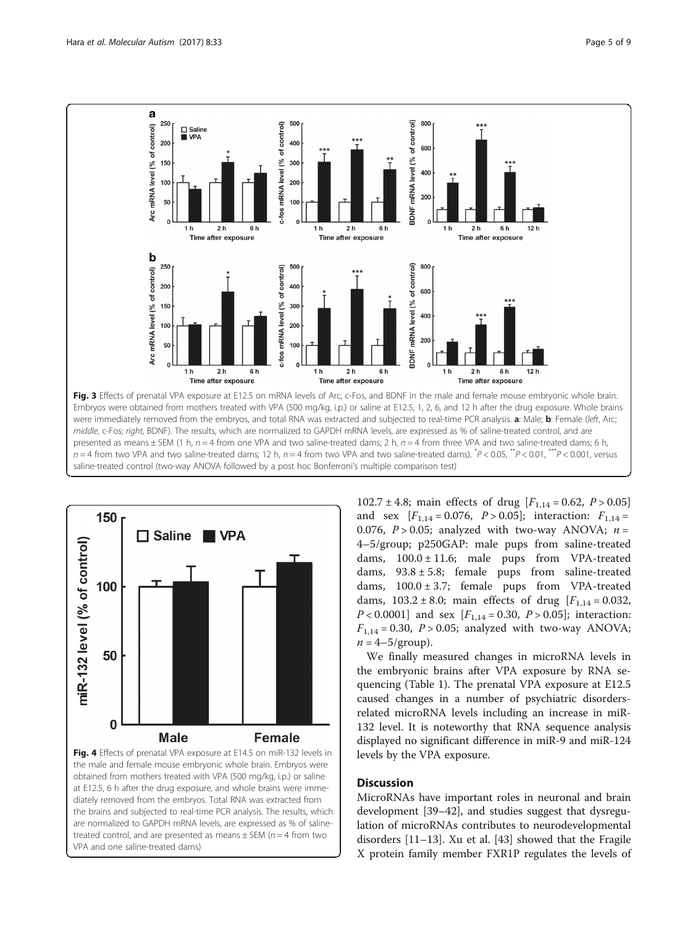<span id="page-4-0"></span>



at E12.5, 6 h after the drug exposure, and whole brains were immediately removed from the embryos. Total RNA was extracted from the brains and subjected to real-time PCR analysis. The results, which are normalized to GAPDH mRNA levels, are expressed as % of salinetreated control, and are presented as means  $\pm$  SEM ( $n = 4$  from two VPA and one saline-treated dams)

102.7 ± 4.8; main effects of drug  $[F_{1,14} = 0.62, P > 0.05]$ and sex  $[F_{1,14} = 0.076, P > 0.05]$ ; interaction:  $F_{1,14} =$ 0.076,  $P > 0.05$ ; analyzed with two-way ANOVA;  $n =$ 4–5/group; p250GAP: male pups from saline-treated dams,  $100.0 \pm 11.6$ ; male pups from VPA-treated dams,  $93.8 \pm 5.8$ ; female pups from saline-treated dams,  $100.0 \pm 3.7$ ; female pups from VPA-treated dams,  $103.2 \pm 8.0$ ; main effects of drug  $[F_{1,14} = 0.032]$ ,  $P < 0.0001$ ] and sex  $[F_{1,14} = 0.30, P > 0.05]$ ; interaction:  $F_{1,14} = 0.30$ ,  $P > 0.05$ ; analyzed with two-way ANOVA;  $n = 4-5/$ group).

We finally measured changes in microRNA levels in the embryonic brains after VPA exposure by RNA sequencing (Table [1\)](#page-5-0). The prenatal VPA exposure at E12.5 caused changes in a number of psychiatric disordersrelated microRNA levels including an increase in miR-132 level. It is noteworthy that RNA sequence analysis displayed no significant difference in miR-9 and miR-124 levels by the VPA exposure.

## **Discussion**

MicroRNAs have important roles in neuronal and brain development [\[39](#page-8-0)–[42\]](#page-8-0), and studies suggest that dysregulation of microRNAs contributes to neurodevelopmental disorders [[11](#page-7-0)–[13](#page-7-0)]. Xu et al. [\[43\]](#page-8-0) showed that the Fragile X protein family member FXR1P regulates the levels of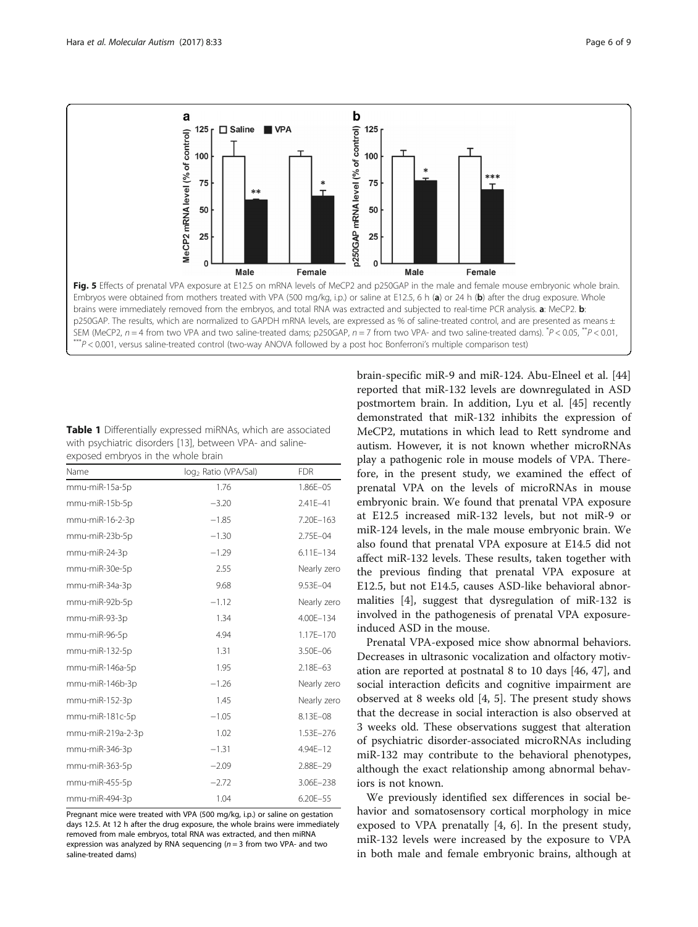<span id="page-5-0"></span>

| <b>Table 1</b> Differentially expressed miRNAs, which are associated |
|----------------------------------------------------------------------|
| with psychiatric disorders [13], between VPA- and saline-            |
| exposed embryos in the whole brain                                   |

| Name              | log <sub>2</sub> Ratio (VPA/Sal) | <b>FDR</b>   |
|-------------------|----------------------------------|--------------|
| mmu-miR-15a-5p    | 1.76                             | 1.86E-05     |
| mmu-miR-15b-5p    | $-3.20$                          | 2.41E-41     |
| mmu-miR-16-2-3p   | $-1.85$                          | 7.20E-163    |
| mmu-miR-23b-5p    | $-1.30$                          | 2.75E-04     |
| mmu-miR-24-3p     | $-1.29$                          | 6.11E-134    |
| mmu-miR-30e-5p    | 2.55                             | Nearly zero  |
| mmu-miR-34a-3p    | 9.68                             | $9.53E - 04$ |
| mmu-miR-92b-5p    | $-1.12$                          | Nearly zero  |
| mmu-miR-93-3p     | 1.34                             | 4.00E-134    |
| mmu-miR-96-5p     | 4.94                             | 1.17E-170    |
| mmu-miR-132-5p    | 1.31                             | 3.50E-06     |
| mmu-miR-146a-5p   | 1.95                             | $2.18E - 63$ |
| mmu-miR-146b-3p   | $-1.26$                          | Nearly zero  |
| mmu-miR-152-3p    | 1.45                             | Nearly zero  |
| mmu-miR-181c-5p   | $-1.05$                          | 8.13E-08     |
| mmu-miR-219a-2-3p | 1.02                             | 1.53E-276    |
| mmu-miR-346-3p    | $-1.31$                          | $4.94E - 12$ |
| mmu-miR-363-5p    | $-2.09$                          | 2.88E-29     |
| mmu-miR-455-5p    | $-2.72$                          | 3.06E-238    |
| mmu-miR-494-3p    | 1.04                             | 6.20E-55     |

Pregnant mice were treated with VPA (500 mg/kg, i.p.) or saline on gestation days 12.5. At 12 h after the drug exposure, the whole brains were immediately removed from male embryos, total RNA was extracted, and then miRNA expression was analyzed by RNA sequencing ( $n = 3$  from two VPA- and two saline-treated dams)

brain-specific miR-9 and miR-124. Abu-Elneel et al. [[44](#page-8-0)] reported that miR-132 levels are downregulated in ASD postmortem brain. In addition, Lyu et al. [[45](#page-8-0)] recently demonstrated that miR-132 inhibits the expression of MeCP2, mutations in which lead to Rett syndrome and autism. However, it is not known whether microRNAs play a pathogenic role in mouse models of VPA. Therefore, in the present study, we examined the effect of prenatal VPA on the levels of microRNAs in mouse embryonic brain. We found that prenatal VPA exposure at E12.5 increased miR-132 levels, but not miR-9 or miR-124 levels, in the male mouse embryonic brain. We also found that prenatal VPA exposure at E14.5 did not affect miR-132 levels. These results, taken together with the previous finding that prenatal VPA exposure at E12.5, but not E14.5, causes ASD-like behavioral abnormalities [\[4\]](#page-7-0), suggest that dysregulation of miR-132 is involved in the pathogenesis of prenatal VPA exposureinduced ASD in the mouse.

Prenatal VPA-exposed mice show abnormal behaviors. Decreases in ultrasonic vocalization and olfactory motivation are reported at postnatal 8 to 10 days [\[46, 47](#page-8-0)], and social interaction deficits and cognitive impairment are observed at 8 weeks old [\[4](#page-7-0), [5\]](#page-7-0). The present study shows that the decrease in social interaction is also observed at 3 weeks old. These observations suggest that alteration of psychiatric disorder-associated microRNAs including miR-132 may contribute to the behavioral phenotypes, although the exact relationship among abnormal behaviors is not known.

We previously identified sex differences in social behavior and somatosensory cortical morphology in mice exposed to VPA prenatally [[4, 6\]](#page-7-0). In the present study, miR-132 levels were increased by the exposure to VPA in both male and female embryonic brains, although at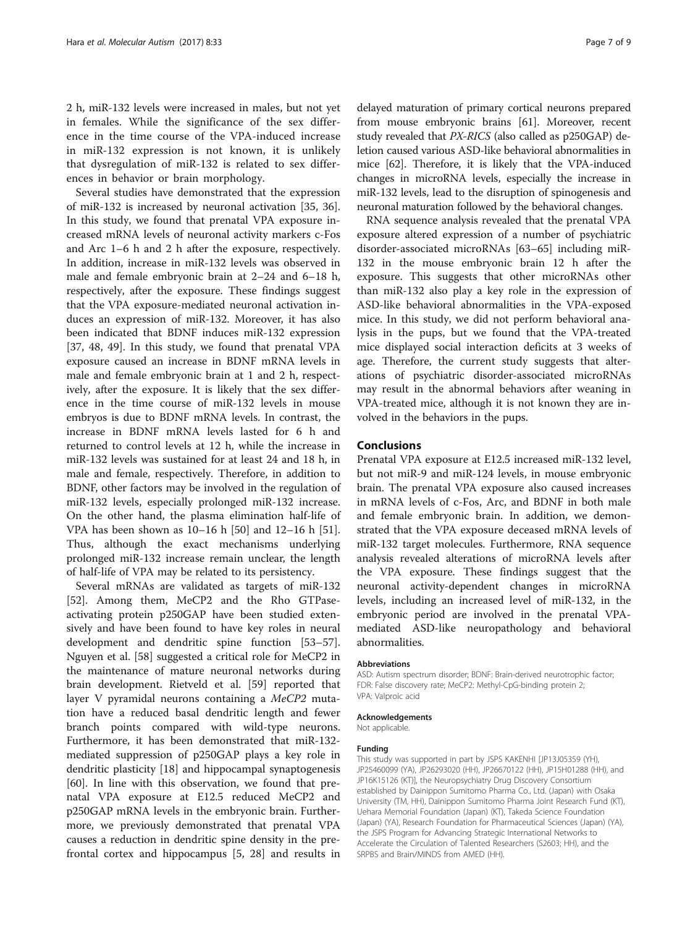2 h, miR-132 levels were increased in males, but not yet in females. While the significance of the sex difference in the time course of the VPA-induced increase in miR-132 expression is not known, it is unlikely that dysregulation of miR-132 is related to sex differences in behavior or brain morphology.

Several studies have demonstrated that the expression of miR-132 is increased by neuronal activation [[35](#page-8-0), [36](#page-8-0)]. In this study, we found that prenatal VPA exposure increased mRNA levels of neuronal activity markers c-Fos and Arc 1–6 h and 2 h after the exposure, respectively. In addition, increase in miR-132 levels was observed in male and female embryonic brain at 2–24 and 6–18 h, respectively, after the exposure. These findings suggest that the VPA exposure-mediated neuronal activation induces an expression of miR-132. Moreover, it has also been indicated that BDNF induces miR-132 expression [[37, 48, 49\]](#page-8-0). In this study, we found that prenatal VPA exposure caused an increase in BDNF mRNA levels in male and female embryonic brain at 1 and 2 h, respectively, after the exposure. It is likely that the sex difference in the time course of miR-132 levels in mouse embryos is due to BDNF mRNA levels. In contrast, the increase in BDNF mRNA levels lasted for 6 h and returned to control levels at 12 h, while the increase in miR-132 levels was sustained for at least 24 and 18 h, in male and female, respectively. Therefore, in addition to BDNF, other factors may be involved in the regulation of miR-132 levels, especially prolonged miR-132 increase. On the other hand, the plasma elimination half-life of VPA has been shown as 10–16 h [\[50\]](#page-8-0) and 12–16 h [\[51](#page-8-0)]. Thus, although the exact mechanisms underlying prolonged miR-132 increase remain unclear, the length of half-life of VPA may be related to its persistency.

Several mRNAs are validated as targets of miR-132 [[52\]](#page-8-0). Among them, MeCP2 and the Rho GTPaseactivating protein p250GAP have been studied extensively and have been found to have key roles in neural development and dendritic spine function [[53](#page-8-0)–[57](#page-8-0)]. Nguyen et al. [[58\]](#page-8-0) suggested a critical role for MeCP2 in the maintenance of mature neuronal networks during brain development. Rietveld et al. [[59\]](#page-8-0) reported that layer V pyramidal neurons containing a MeCP2 mutation have a reduced basal dendritic length and fewer branch points compared with wild-type neurons. Furthermore, it has been demonstrated that miR-132 mediated suppression of p250GAP plays a key role in dendritic plasticity [\[18](#page-7-0)] and hippocampal synaptogenesis [[60\]](#page-8-0). In line with this observation, we found that prenatal VPA exposure at E12.5 reduced MeCP2 and p250GAP mRNA levels in the embryonic brain. Furthermore, we previously demonstrated that prenatal VPA causes a reduction in dendritic spine density in the prefrontal cortex and hippocampus [[5](#page-7-0), [28](#page-7-0)] and results in

delayed maturation of primary cortical neurons prepared from mouse embryonic brains [[61](#page-8-0)]. Moreover, recent study revealed that PX-RICS (also called as p250GAP) deletion caused various ASD-like behavioral abnormalities in mice [\[62\]](#page-8-0). Therefore, it is likely that the VPA-induced changes in microRNA levels, especially the increase in miR-132 levels, lead to the disruption of spinogenesis and neuronal maturation followed by the behavioral changes.

RNA sequence analysis revealed that the prenatal VPA exposure altered expression of a number of psychiatric disorder-associated microRNAs [\[63](#page-8-0)–[65\]](#page-8-0) including miR-132 in the mouse embryonic brain 12 h after the exposure. This suggests that other microRNAs other than miR-132 also play a key role in the expression of ASD-like behavioral abnormalities in the VPA-exposed mice. In this study, we did not perform behavioral analysis in the pups, but we found that the VPA-treated mice displayed social interaction deficits at 3 weeks of age. Therefore, the current study suggests that alterations of psychiatric disorder-associated microRNAs may result in the abnormal behaviors after weaning in VPA-treated mice, although it is not known they are involved in the behaviors in the pups.

## Conclusions

Prenatal VPA exposure at E12.5 increased miR-132 level, but not miR-9 and miR-124 levels, in mouse embryonic brain. The prenatal VPA exposure also caused increases in mRNA levels of c-Fos, Arc, and BDNF in both male and female embryonic brain. In addition, we demonstrated that the VPA exposure deceased mRNA levels of miR-132 target molecules. Furthermore, RNA sequence analysis revealed alterations of microRNA levels after the VPA exposure. These findings suggest that the neuronal activity-dependent changes in microRNA levels, including an increased level of miR-132, in the embryonic period are involved in the prenatal VPAmediated ASD-like neuropathology and behavioral abnormalities.

#### Abbreviations

ASD: Autism spectrum disorder; BDNF: Brain-derived neurotrophic factor; FDR: False discovery rate; MeCP2: Methyl-CpG-binding protein 2; VPA: Valproic acid

#### Acknowledgements

Not applicable.

#### Funding

This study was supported in part by JSPS KAKENHI [JP13J05359 (YH), JP25460099 (YA), JP26293020 (HH), JP26670122 (HH), JP15H01288 (HH), and JP16K15126 (KT)], the Neuropsychiatry Drug Discovery Consortium established by Dainippon Sumitomo Pharma Co., Ltd. (Japan) with Osaka University (TM, HH), Dainippon Sumitomo Pharma Joint Research Fund (KT), Uehara Memorial Foundation (Japan) (KT), Takeda Science Foundation (Japan) (YA), Research Foundation for Pharmaceutical Sciences (Japan) (YA), the JSPS Program for Advancing Strategic International Networks to Accelerate the Circulation of Talented Researchers (S2603; HH), and the SRPBS and Brain/MINDS from AMED (HH).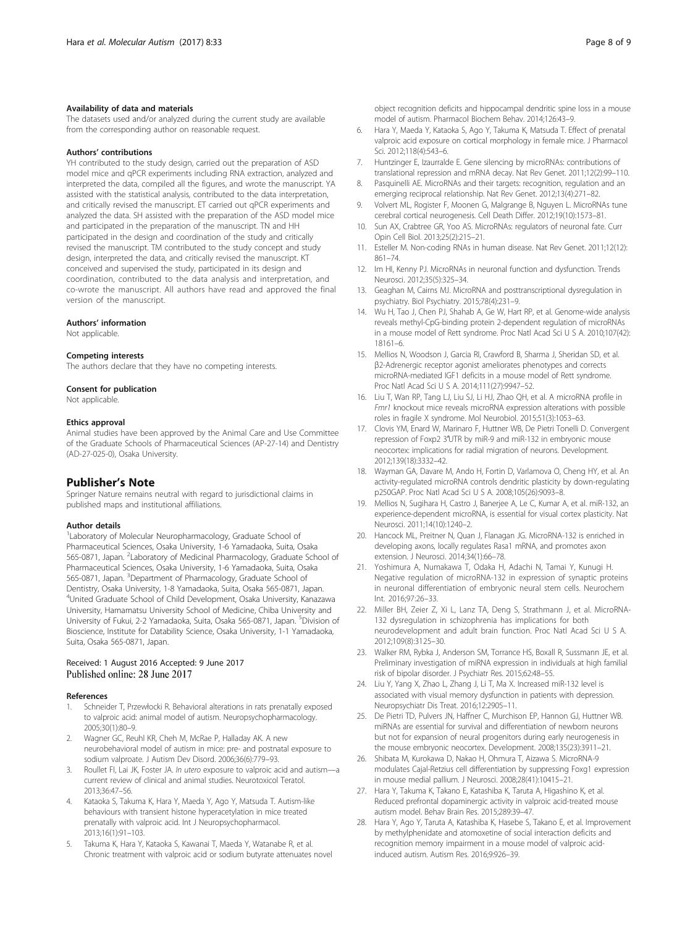#### <span id="page-7-0"></span>Availability of data and materials

The datasets used and/or analyzed during the current study are available from the corresponding author on reasonable request.

#### Authors' contributions

YH contributed to the study design, carried out the preparation of ASD model mice and qPCR experiments including RNA extraction, analyzed and interpreted the data, compiled all the figures, and wrote the manuscript. YA assisted with the statistical analysis, contributed to the data interpretation, and critically revised the manuscript. ET carried out qPCR experiments and analyzed the data. SH assisted with the preparation of the ASD model mice and participated in the preparation of the manuscript. TN and HH participated in the design and coordination of the study and critically revised the manuscript. TM contributed to the study concept and study design, interpreted the data, and critically revised the manuscript. KT conceived and supervised the study, participated in its design and coordination, contributed to the data analysis and interpretation, and co-wrote the manuscript. All authors have read and approved the final version of the manuscript.

#### Authors' information

Not applicable.

#### Competing interests

The authors declare that they have no competing interests.

#### Consent for publication

Not applicable.

#### Ethics approval

Animal studies have been approved by the Animal Care and Use Committee of the Graduate Schools of Pharmaceutical Sciences (AP-27-14) and Dentistry (AD-27-025-0), Osaka University.

#### Publisher's Note

Springer Nature remains neutral with regard to jurisdictional claims in published maps and institutional affiliations.

#### Author details

<sup>1</sup> Laboratory of Molecular Neuropharmacology, Graduate School of Pharmaceutical Sciences, Osaka University, 1-6 Yamadaoka, Suita, Osaka 565-0871, Japan. <sup>2</sup> Laboratory of Medicinal Pharmacology, Graduate School of Pharmaceutical Sciences, Osaka University, 1-6 Yamadaoka, Suita, Osaka 565-0871, Japan. <sup>3</sup>Department of Pharmacology, Graduate School of Dentistry, Osaka University, 1-8 Yamadaoka, Suita, Osaka 565-0871, Japan. 4 United Graduate School of Child Development, Osaka University, Kanazawa University, Hamamatsu University School of Medicine, Chiba University and University of Fukui, 2-2 Yamadaoka, Suita, Osaka 565-0871, Japan. <sup>5</sup>Division of Bioscience, Institute for Datability Science, Osaka University, 1-1 Yamadaoka, Suita, Osaka 565-0871, Japan.

#### Received: 1 August 2016 Accepted: 9 June 2017 Published online: 28 June 2017

#### References

- 1. Schneider T, Przewłocki R. Behavioral alterations in rats prenatally exposed to valproic acid: animal model of autism. Neuropsychopharmacology. 2005;30(1):80–9.
- 2. Wagner GC, Reuhl KR, Cheh M, McRae P, Halladay AK. A new neurobehavioral model of autism in mice: pre- and postnatal exposure to sodium valproate. J Autism Dev Disord. 2006;36(6):779–93.
- 3. Roullet FI, Lai JK, Foster JA. In utero exposure to valproic acid and autism—a current review of clinical and animal studies. Neurotoxicol Teratol. 2013;36:47–56.
- 4. Kataoka S, Takuma K, Hara Y, Maeda Y, Ago Y, Matsuda T. Autism-like behaviours with transient histone hyperacetylation in mice treated prenatally with valproic acid. Int J Neuropsychopharmacol. 2013;16(1):91–103.
- Takuma K, Hara Y, Kataoka S, Kawanai T, Maeda Y, Watanabe R, et al. Chronic treatment with valproic acid or sodium butyrate attenuates novel

object recognition deficits and hippocampal dendritic spine loss in a mouse model of autism. Pharmacol Biochem Behav. 2014;126:43–9.

- 6. Hara Y, Maeda Y, Kataoka S, Ago Y, Takuma K, Matsuda T. Effect of prenatal valproic acid exposure on cortical morphology in female mice. J Pharmacol Sci. 2012;118(4):543–6.
- 7. Huntzinger E, Izaurralde E. Gene silencing by microRNAs: contributions of translational repression and mRNA decay. Nat Rev Genet. 2011;12(2):99–110.
- 8. Pasquinelli AE. MicroRNAs and their targets: recognition, regulation and an emerging reciprocal relationship. Nat Rev Genet. 2012;13(4):271–82.
- 9. Volvert ML, Rogister F, Moonen G, Malgrange B, Nguyen L. MicroRNAs tune cerebral cortical neurogenesis. Cell Death Differ. 2012;19(10):1573–81.
- 10. Sun AX, Crabtree GR, Yoo AS. MicroRNAs: regulators of neuronal fate. Curr Opin Cell Biol. 2013;25(2):215–21.
- 11. Esteller M. Non-coding RNAs in human disease. Nat Rev Genet. 2011;12(12): 861–74.
- 12. Im HI, Kenny PJ. MicroRNAs in neuronal function and dysfunction. Trends Neurosci. 2012;35(5):325–34.
- 13. Geaghan M, Cairns MJ. MicroRNA and posttranscriptional dysregulation in psychiatry. Biol Psychiatry. 2015;78(4):231–9.
- 14. Wu H, Tao J, Chen PJ, Shahab A, Ge W, Hart RP, et al. Genome-wide analysis reveals methyl-CpG-binding protein 2-dependent regulation of microRNAs in a mouse model of Rett syndrome. Proc Natl Acad Sci U S A. 2010;107(42): 18161–6.
- 15. Mellios N, Woodson J, Garcia RI, Crawford B, Sharma J, Sheridan SD, et al. β2-Adrenergic receptor agonist ameliorates phenotypes and corrects microRNA-mediated IGF1 deficits in a mouse model of Rett syndrome. Proc Natl Acad Sci U S A. 2014;111(27):9947–52.
- 16. Liu T, Wan RP, Tang LJ, Liu SJ, Li HJ, Zhao QH, et al. A microRNA profile in Fmr1 knockout mice reveals microRNA expression alterations with possible roles in fragile X syndrome. Mol Neurobiol. 2015;51(3):1053–63.
- 17. Clovis YM, Enard W, Marinaro F, Huttner WB, De Pietri Tonelli D. Convergent repression of Foxp2 3′UTR by miR-9 and miR-132 in embryonic mouse neocortex: implications for radial migration of neurons. Development. 2012;139(18):3332–42.
- 18. Wayman GA, Davare M, Ando H, Fortin D, Varlamova O, Cheng HY, et al. An activity-regulated microRNA controls dendritic plasticity by down-regulating p250GAP. Proc Natl Acad Sci U S A. 2008;105(26):9093–8.
- 19. Mellios N, Sugihara H, Castro J, Banerjee A, Le C, Kumar A, et al. miR-132, an experience-dependent microRNA, is essential for visual cortex plasticity. Nat Neurosci. 2011;14(10):1240–2.
- 20. Hancock ML, Preitner N, Quan J, Flanagan JG. MicroRNA-132 is enriched in developing axons, locally regulates Rasa1 mRNA, and promotes axon extension. J Neurosci. 2014;34(1):66–78.
- 21. Yoshimura A, Numakawa T, Odaka H, Adachi N, Tamai Y, Kunugi H. Negative regulation of microRNA-132 in expression of synaptic proteins in neuronal differentiation of embryonic neural stem cells. Neurochem Int. 2016;97:26–33.
- 22. Miller BH, Zeier Z, Xi L, Lanz TA, Deng S, Strathmann J, et al. MicroRNA-132 dysregulation in schizophrenia has implications for both neurodevelopment and adult brain function. Proc Natl Acad Sci U S A. 2012;109(8):3125–30.
- 23. Walker RM, Rybka J, Anderson SM, Torrance HS, Boxall R, Sussmann JE, et al. Preliminary investigation of miRNA expression in individuals at high familial risk of bipolar disorder. J Psychiatr Res. 2015;62:48–55.
- 24. Liu Y, Yang X, Zhao L, Zhang J, Li T, Ma X. Increased miR-132 level is associated with visual memory dysfunction in patients with depression. Neuropsychiatr Dis Treat. 2016;12:2905–11.
- 25. De Pietri TD, Pulvers JN, Haffner C, Murchison EP, Hannon GJ, Huttner WB. miRNAs are essential for survival and differentiation of newborn neurons but not for expansion of neural progenitors during early neurogenesis in the mouse embryonic neocortex. Development. 2008;135(23):3911–21.
- 26. Shibata M, Kurokawa D, Nakao H, Ohmura T, Aizawa S. MicroRNA-9 modulates Cajal-Retzius cell differentiation by suppressing Foxg1 expression in mouse medial pallium. J Neurosci. 2008;28(41):10415–21.
- 27. Hara Y, Takuma K, Takano E, Katashiba K, Taruta A, Higashino K, et al. Reduced prefrontal dopaminergic activity in valproic acid-treated mouse autism model. Behav Brain Res. 2015;289:39–47.
- 28. Hara Y, Ago Y, Taruta A, Katashiba K, Hasebe S, Takano E, et al. Improvement by methylphenidate and atomoxetine of social interaction deficits and recognition memory impairment in a mouse model of valproic acidinduced autism. Autism Res. 2016;9:926–39.